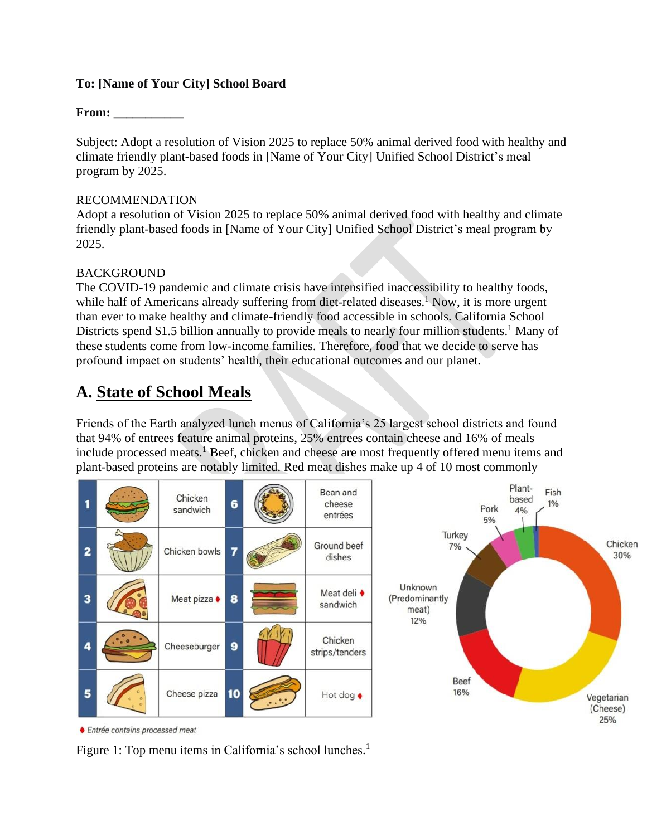#### **To: [Name of Your City] School Board**

### **From: \_\_\_\_\_\_\_\_\_\_\_**

Subject: Adopt a resolution of Vision 2025 to replace 50% animal derived food with healthy and climate friendly plant-based foods in [Name of Your City] Unified School District's meal program by 2025.

#### RECOMMENDATION

Adopt a resolution of Vision 2025 to replace 50% animal derived food with healthy and climate friendly plant-based foods in [Name of Your City] Unified School District's meal program by 2025.

#### BACKGROUND

The COVID-19 pandemic and climate crisis have intensified inaccessibility to healthy foods, while half of Americans already suffering from diet-related diseases.<sup>1</sup> Now, it is more urgent than ever to make healthy and climate-friendly food accessible in schools. California School Districts spend \$1.5 billion annually to provide meals to nearly four million students.<sup>1</sup> Many of these students come from low-income families. Therefore, food that we decide to serve has profound impact on students' health, their educational outcomes and our planet.

# **A. State of School Meals**

Friends of the Earth analyzed lunch menus of California's 25 largest school districts and found that 94% of entrees feature animal proteins, 25% entrees contain cheese and 16% of meals include processed meats.<sup>1</sup> Beef, chicken and cheese are most frequently offered menu items and plant-based proteins are notably limited. Red meat dishes make up 4 of 10 most commonly



♦ Entrée contains processed meat

Figure 1: Top menu items in California's school lunches.<sup>1</sup>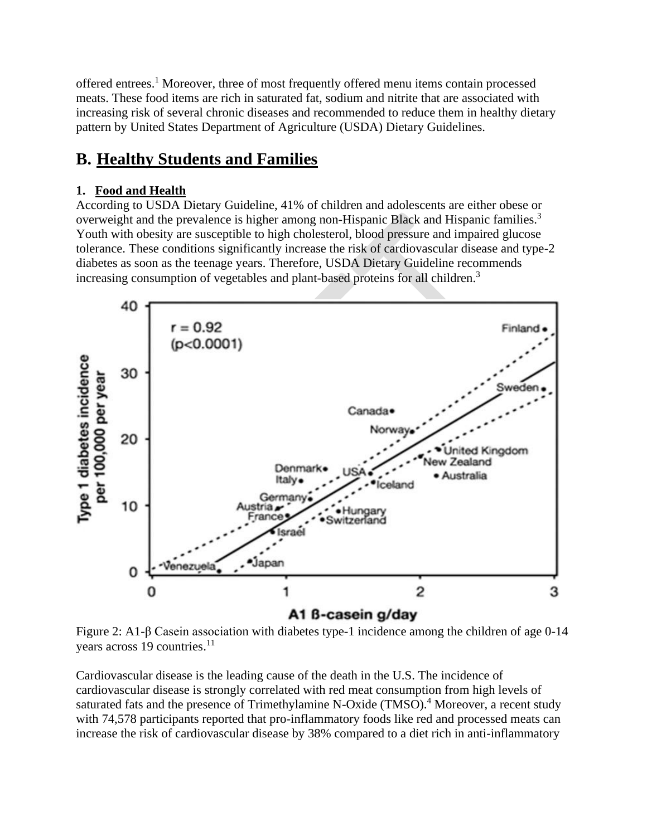offered entrees.<sup>1</sup> Moreover, three of most frequently offered menu items contain processed meats. These food items are rich in saturated fat, sodium and nitrite that are associated with increasing risk of several chronic diseases and recommended to reduce them in healthy dietary pattern by United States Department of Agriculture (USDA) Dietary Guidelines.

# **B. Healthy Students and Families**

# **1. Food and Health**

According to USDA Dietary Guideline, 41% of children and adolescents are either obese or overweight and the prevalence is higher among non-Hispanic Black and Hispanic families.<sup>3</sup> Youth with obesity are susceptible to high cholesterol, blood pressure and impaired glucose tolerance. These conditions significantly increase the risk of cardiovascular disease and type-2 diabetes as soon as the teenage years. Therefore, USDA Dietary Guideline recommends increasing consumption of vegetables and plant-based proteins for all children.<sup>3</sup>



Figure 2: A1-β Casein association with diabetes type-1 incidence among the children of age 0-14 years across 19 countries.<sup>11</sup>

Cardiovascular disease is the leading cause of the death in the U.S. The incidence of cardiovascular disease is strongly correlated with red meat consumption from high levels of saturated fats and the presence of Trimethylamine N-Oxide (TMSO).<sup>4</sup> Moreover, a recent study with 74,578 participants reported that pro-inflammatory foods like red and processed meats can increase the risk of cardiovascular disease by 38% compared to a diet rich in anti-inflammatory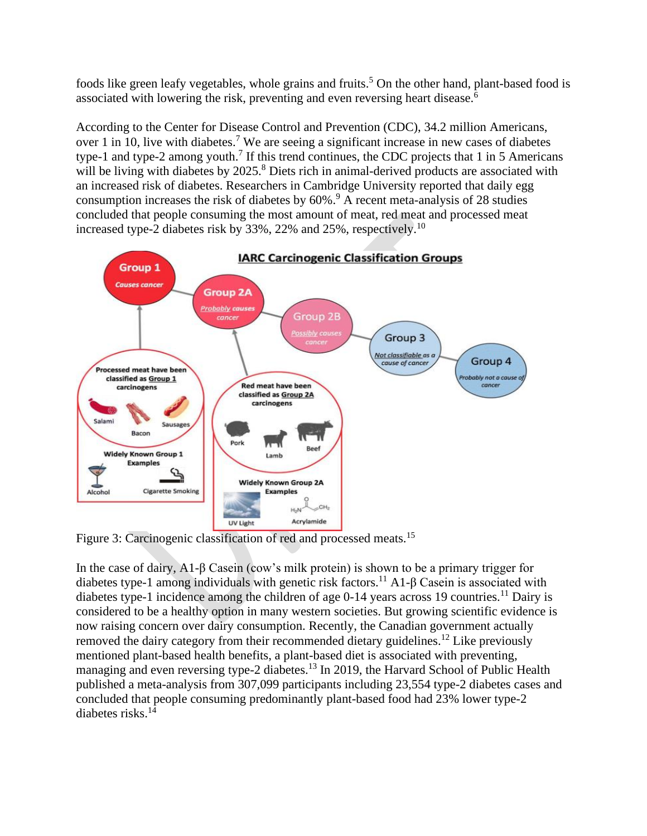foods like green leafy vegetables, whole grains and fruits.<sup>5</sup> On the other hand, plant-based food is associated with lowering the risk, preventing and even reversing heart disease.<sup>6</sup>

According to the Center for Disease Control and Prevention (CDC), 34.2 million Americans, over 1 in 10, live with diabetes.<sup>7</sup> We are seeing a significant increase in new cases of diabetes type-1 and type-2 among youth.<sup>7</sup> If this trend continues, the CDC projects that 1 in 5 Americans will be living with diabetes by 2025.<sup>8</sup> Diets rich in animal-derived products are associated with an increased risk of diabetes. Researchers in Cambridge University reported that daily egg consumption increases the risk of diabetes by  $60\%$ .<sup>9</sup> A recent meta-analysis of 28 studies concluded that people consuming the most amount of meat, red meat and processed meat increased type-2 diabetes risk by 33%, 22% and 25%, respectively.<sup>10</sup>



Figure 3: Carcinogenic classification of red and processed meats.<sup>15</sup>

In the case of dairy, A1-β Casein (cow's milk protein) is shown to be a primary trigger for diabetes type-1 among individuals with genetic risk factors.<sup>11</sup> A1- $\beta$  Casein is associated with diabetes type-1 incidence among the children of age  $0-14$  years across 19 countries.<sup>11</sup> Dairy is considered to be a healthy option in many western societies. But growing scientific evidence is now raising concern over dairy consumption. Recently, the Canadian government actually removed the dairy category from their recommended dietary guidelines.<sup>12</sup> Like previously mentioned plant-based health benefits, a plant-based diet is associated with preventing, managing and even reversing type-2 diabetes.<sup>13</sup> In 2019, the Harvard School of Public Health published a meta-analysis from 307,099 participants including 23,554 type-2 diabetes cases and concluded that people consuming predominantly plant-based food had 23% lower type-2 diabetes risks.<sup>14</sup>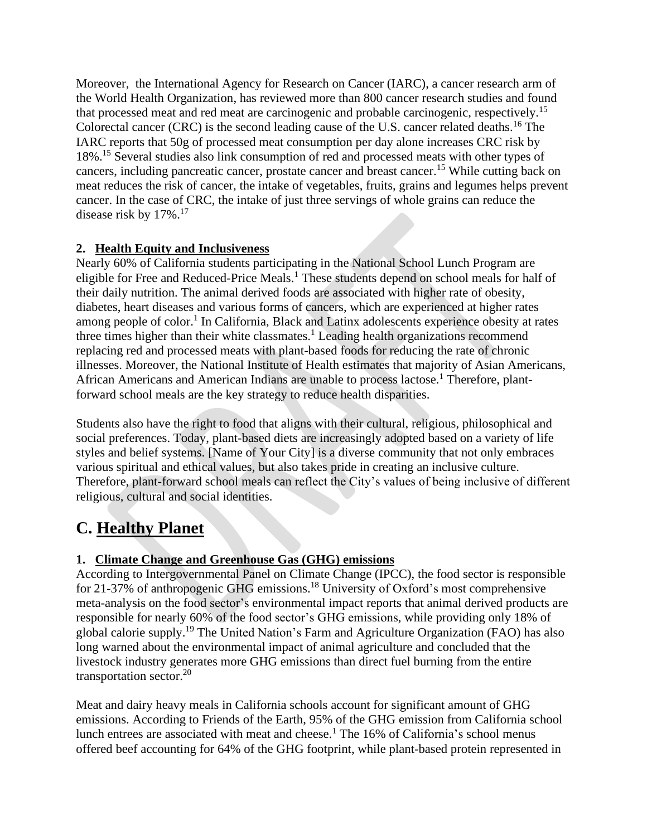Moreover, the International Agency for Research on Cancer (IARC), a cancer research arm of the World Health Organization, has reviewed more than 800 cancer research studies and found that processed meat and red meat are carcinogenic and probable carcinogenic, respectively.<sup>15</sup> Colorectal cancer (CRC) is the second leading cause of the U.S. cancer related deaths.<sup>16</sup> The IARC reports that 50g of processed meat consumption per day alone increases CRC risk by 18%.<sup>15</sup> Several studies also link consumption of red and processed meats with other types of cancers, including pancreatic cancer, prostate cancer and breast cancer.<sup>15</sup> While cutting back on meat reduces the risk of cancer, the intake of vegetables, fruits, grains and legumes helps prevent cancer. In the case of CRC, the intake of just three servings of whole grains can reduce the disease risk by 17%.<sup>17</sup>

## **2. Health Equity and Inclusiveness**

Nearly 60% of California students participating in the National School Lunch Program are eligible for Free and Reduced-Price Meals.<sup>1</sup> These students depend on school meals for half of their daily nutrition. The animal derived foods are associated with higher rate of obesity, diabetes, heart diseases and various forms of cancers, which are experienced at higher rates among people of color.<sup>1</sup> In California, Black and Latinx adolescents experience obesity at rates three times higher than their white classmates.<sup>1</sup> Leading health organizations recommend replacing red and processed meats with plant-based foods for reducing the rate of chronic illnesses. Moreover, the National Institute of Health estimates that majority of Asian Americans, African Americans and American Indians are unable to process lactose.<sup>1</sup> Therefore, plantforward school meals are the key strategy to reduce health disparities.

Students also have the right to food that aligns with their cultural, religious, philosophical and social preferences. Today, plant-based diets are increasingly adopted based on a variety of life styles and belief systems. [Name of Your City] is a diverse community that not only embraces various spiritual and ethical values, but also takes pride in creating an inclusive culture. Therefore, plant-forward school meals can reflect the City's values of being inclusive of different religious, cultural and social identities.

# **C. Healthy Planet**

## **1. Climate Change and Greenhouse Gas (GHG) emissions**

According to Intergovernmental Panel on Climate Change (IPCC), the food sector is responsible for 21-37% of anthropogenic GHG emissions.<sup>18</sup> University of Oxford's most comprehensive meta-analysis on the food sector's environmental impact reports that animal derived products are responsible for nearly 60% of the food sector's GHG emissions, while providing only 18% of global calorie supply.<sup>19</sup> The United Nation's Farm and Agriculture Organization (FAO) has also long warned about the environmental impact of animal agriculture and concluded that the livestock industry generates more GHG emissions than direct fuel burning from the entire transportation sector. $20$ 

Meat and dairy heavy meals in California schools account for significant amount of GHG emissions. According to Friends of the Earth, 95% of the GHG emission from California school lunch entrees are associated with meat and cheese.<sup>1</sup> The  $16\%$  of California's school menus offered beef accounting for 64% of the GHG footprint, while plant-based protein represented in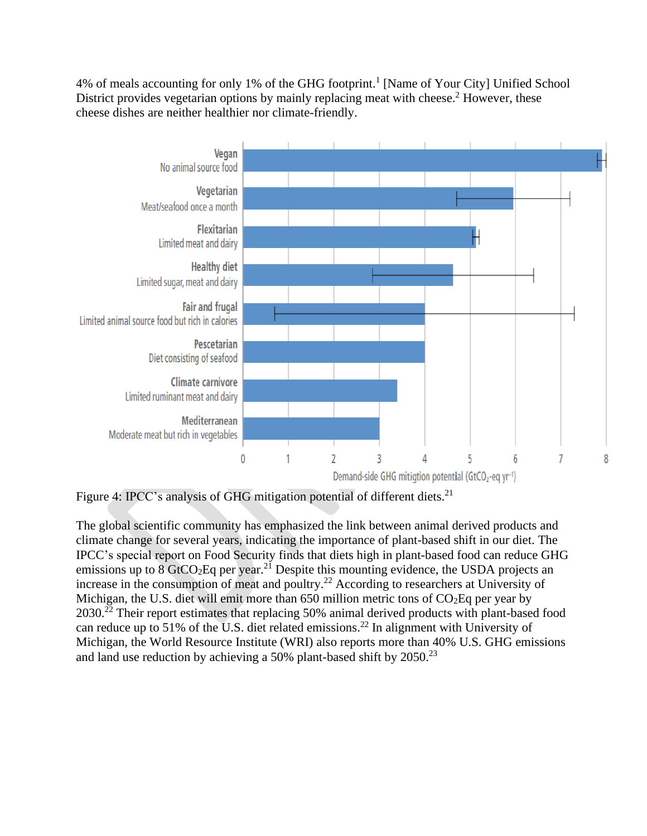4% of meals accounting for only 1% of the GHG footprint.<sup>1</sup> [Name of Your City] Unified School District provides vegetarian options by mainly replacing meat with cheese.<sup>2</sup> However, these cheese dishes are neither healthier nor climate-friendly.



Figure 4: IPCC's analysis of GHG mitigation potential of different diets.<sup>21</sup>

The global scientific community has emphasized the link between animal derived products and climate change for several years, indicating the importance of plant-based shift in our diet. The IPCC's special report on Food Security finds that diets high in plant-based food can reduce GHG emissions up to  $8 \text{ GtCO}_2$ Eq per year.<sup>21</sup> Despite this mounting evidence, the USDA projects an increase in the consumption of meat and poultry.<sup>22</sup> According to researchers at University of Michigan, the U.S. diet will emit more than 650 million metric tons of  $CO<sub>2</sub>Eq$  per year by 2030.<sup>22</sup> Their report estimates that replacing 50% animal derived products with plant-based food can reduce up to 51% of the U.S. diet related emissions. <sup>22</sup> In alignment with University of Michigan, the World Resource Institute (WRI) also reports more than 40% U.S. GHG emissions and land use reduction by achieving a 50% plant-based shift by 2050.<sup>23</sup>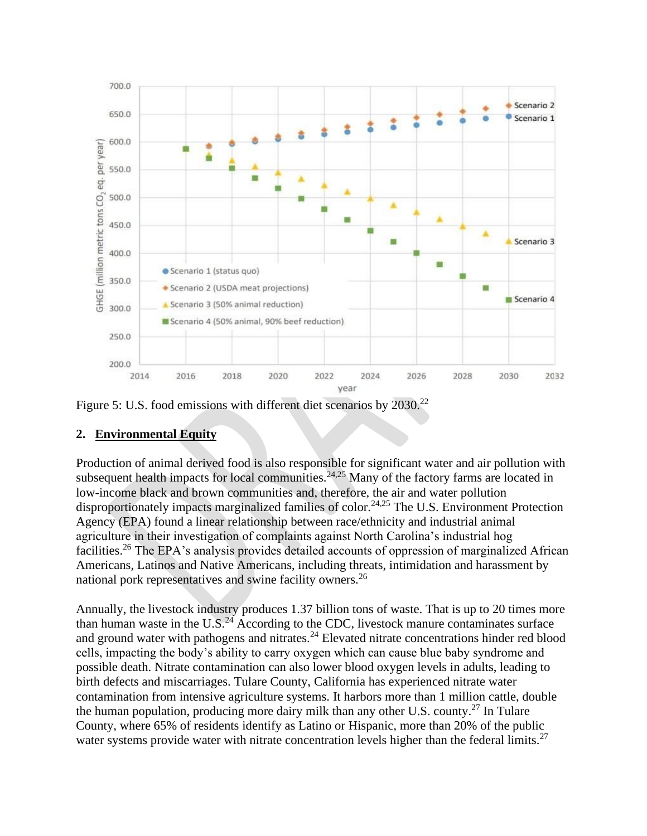

Figure 5: U.S. food emissions with different diet scenarios by 2030.<sup>22</sup>

## **2. Environmental Equity**

Production of animal derived food is also responsible for significant water and air pollution with subsequent health impacts for local communities.<sup>24,25</sup> Many of the factory farms are located in low-income black and brown communities and, therefore, the air and water pollution disproportionately impacts marginalized families of color.<sup>24,25</sup> The U.S. Environment Protection Agency (EPA) found a linear relationship between race/ethnicity and industrial animal agriculture in their investigation of complaints against North Carolina's industrial hog facilities.<sup>26</sup> The EPA's analysis provides detailed accounts of oppression of marginalized African Americans, Latinos and Native Americans, including threats, intimidation and harassment by national pork representatives and swine facility owners.<sup>26</sup>

Annually, the livestock industry produces 1.37 billion tons of waste. That is up to 20 times more than human waste in the U.S. $^{24}$  According to the CDC, livestock manure contaminates surface and ground water with pathogens and nitrates.<sup>24</sup> Elevated nitrate concentrations hinder red blood cells, impacting the body's ability to carry oxygen which can cause blue baby syndrome and possible death. Nitrate contamination can also lower blood oxygen levels in adults, leading to birth defects and miscarriages. Tulare County, California has experienced nitrate water contamination from intensive agriculture systems. It harbors more than 1 million cattle, double the human population, producing more dairy milk than any other U.S. county.<sup>27</sup> In Tulare County, where 65% of residents identify as Latino or Hispanic, more than 20% of the public water systems provide water with nitrate concentration levels higher than the federal limits.<sup>27</sup>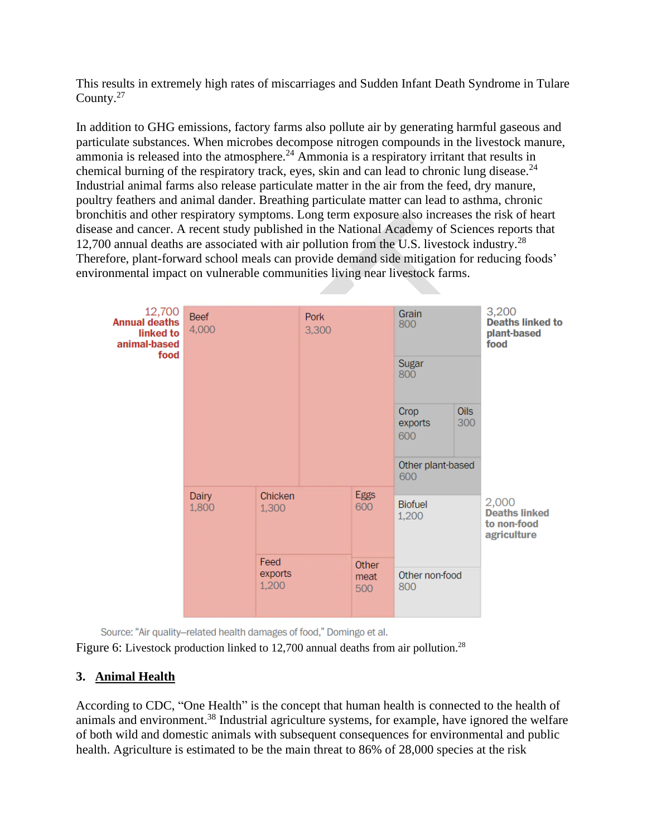This results in extremely high rates of miscarriages and Sudden Infant Death Syndrome in Tulare County. $27$ 

In addition to GHG emissions, factory farms also pollute air by generating harmful gaseous and particulate substances. When microbes decompose nitrogen compounds in the livestock manure, ammonia is released into the atmosphere.<sup>24</sup> Ammonia is a respiratory irritant that results in chemical burning of the respiratory track, eyes, skin and can lead to chronic lung disease.<sup>24</sup> Industrial animal farms also release particulate matter in the air from the feed, dry manure, poultry feathers and animal dander. Breathing particulate matter can lead to asthma, chronic bronchitis and other respiratory symptoms. Long term exposure also increases the risk of heart disease and cancer. A recent study published in the National Academy of Sciences reports that 12,700 annual deaths are associated with air pollution from the U.S. livestock industry.<sup>28</sup> Therefore, plant-forward school meals can provide demand side mitigation for reducing foods' environmental impact on vulnerable communities living near livestock farms.



Source: "Air quality-related health damages of food," Domingo et al.

Figure 6: Livestock production linked to 12,700 annual deaths from air pollution.<sup>28</sup>

#### **3. Animal Health**

According to CDC, "One Health" is the concept that human health is connected to the health of animals and environment.<sup>38</sup> Industrial agriculture systems, for example, have ignored the welfare of both wild and domestic animals with subsequent consequences for environmental and public health. Agriculture is estimated to be the main threat to 86% of 28,000 species at the risk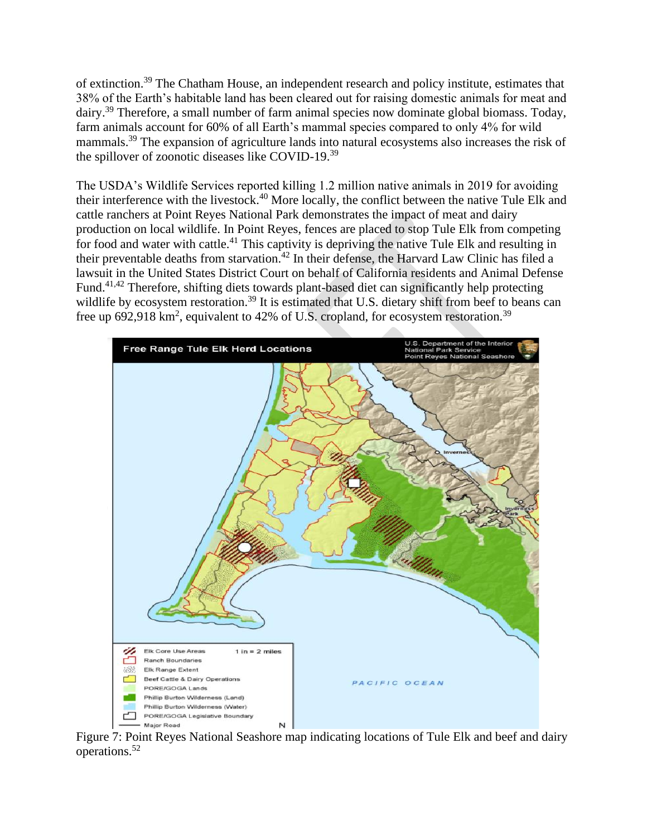of extinction.<sup>39</sup> The Chatham House, an independent research and policy institute, estimates that 38% of the Earth's habitable land has been cleared out for raising domestic animals for meat and dairy.<sup>39</sup> Therefore, a small number of farm animal species now dominate global biomass. Today, farm animals account for 60% of all Earth's mammal species compared to only 4% for wild mammals.<sup>39</sup> The expansion of agriculture lands into natural ecosystems also increases the risk of the spillover of zoonotic diseases like COVID-19.<sup>39</sup>

The USDA's Wildlife Services reported killing 1.2 million native animals in 2019 for avoiding their interference with the livestock.<sup>40</sup> More locally, the conflict between the native Tule Elk and cattle ranchers at Point Reyes National Park demonstrates the impact of meat and dairy production on local wildlife. In Point Reyes, fences are placed to stop Tule Elk from competing for food and water with cattle.<sup>41</sup> This captivity is depriving the native Tule Elk and resulting in their preventable deaths from starvation.<sup>42</sup> In their defense, the Harvard Law Clinic has filed a lawsuit in the United States District Court on behalf of California residents and Animal Defense Fund.41,42 Therefore, shifting diets towards plant-based diet can significantly help protecting wildlife by ecosystem restoration.<sup>39</sup> It is estimated that U.S. dietary shift from beef to beans can free up 692,918 km<sup>2</sup>, equivalent to 42% of U.S. cropland, for ecosystem restoration.<sup>39</sup>



Figure 7: Point Reyes National Seashore map indicating locations of Tule Elk and beef and dairy operations.<sup>52</sup>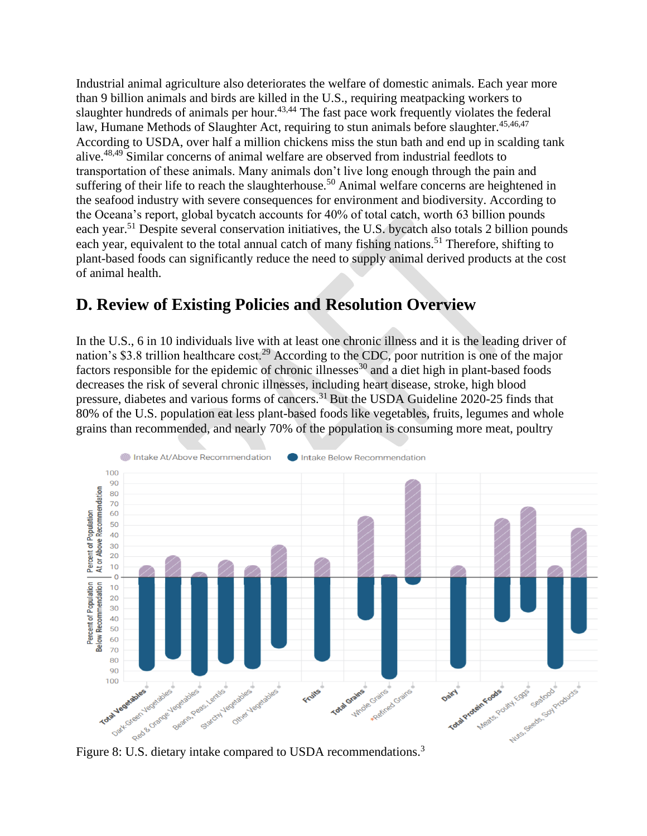Industrial animal agriculture also deteriorates the welfare of domestic animals. Each year more than 9 billion animals and birds are killed in the U.S., requiring meatpacking workers to slaughter hundreds of animals per hour.<sup>43,44</sup> The fast pace work frequently violates the federal law, Humane Methods of Slaughter Act, requiring to stun animals before slaughter.<sup>45,46,47</sup> According to USDA, over half a million chickens miss the stun bath and end up in scalding tank alive.48,49 Similar concerns of animal welfare are observed from industrial feedlots to transportation of these animals. Many animals don't live long enough through the pain and suffering of their life to reach the slaughterhouse.<sup>50</sup> Animal welfare concerns are heightened in the seafood industry with severe consequences for environment and biodiversity. According to the Oceana's report, global bycatch accounts for 40% of total catch, worth 63 billion pounds each year.<sup>51</sup> Despite several conservation initiatives, the U.S. bycatch also totals 2 billion pounds each year, equivalent to the total annual catch of many fishing nations.<sup>51</sup> Therefore, shifting to plant-based foods can significantly reduce the need to supply animal derived products at the cost of animal health.

# **D. Review of Existing Policies and Resolution Overview**

In the U.S., 6 in 10 individuals live with at least one chronic illness and it is the leading driver of nation's \$3.8 trillion healthcare cost.<sup>29</sup> According to the CDC, poor nutrition is one of the major factors responsible for the epidemic of chronic illnesses<sup>30</sup> and a diet high in plant-based foods decreases the risk of several chronic illnesses, including heart disease, stroke, high blood pressure, diabetes and various forms of cancers.<sup>31</sup> But the USDA Guideline 2020-25 finds that 80% of the U.S. population eat less plant-based foods like vegetables, fruits, legumes and whole grains than recommended, and nearly 70% of the population is consuming more meat, poultry

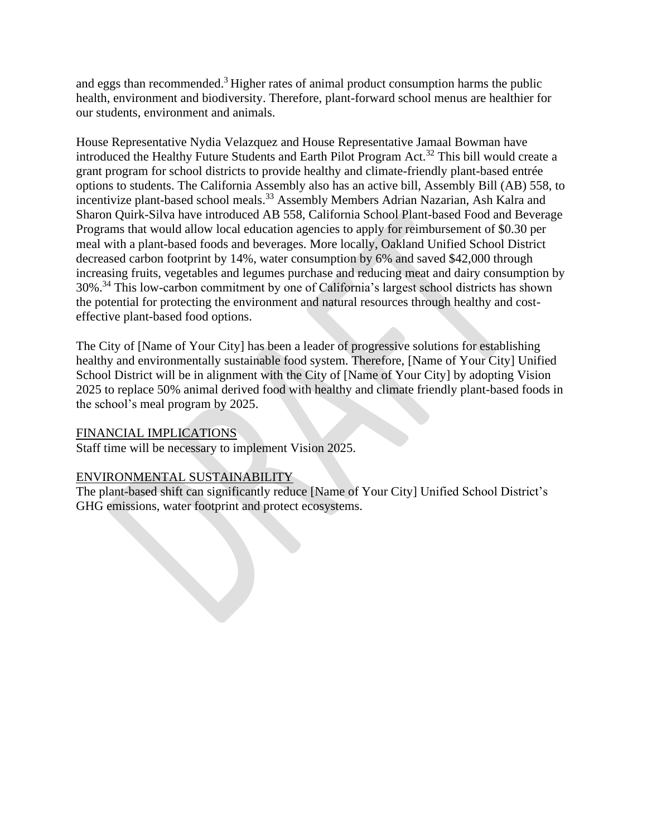and eggs than recommended.<sup>3</sup> Higher rates of animal product consumption harms the public health, environment and biodiversity. Therefore, plant-forward school menus are healthier for our students, environment and animals.

House Representative Nydia Velazquez and House Representative Jamaal Bowman have introduced the Healthy Future Students and Earth Pilot Program Act.<sup>32</sup> This bill would create a grant program for school districts to provide healthy and climate-friendly plant-based entrée options to students. The California Assembly also has an active bill, Assembly Bill (AB) 558, to incentivize plant-based school meals. <sup>33</sup> Assembly Members Adrian Nazarian, Ash Kalra and Sharon Quirk-Silva have introduced AB 558, California School Plant-based Food and Beverage Programs that would allow local education agencies to apply for reimbursement of \$0.30 per meal with a plant-based foods and beverages. More locally, Oakland Unified School District decreased carbon footprint by 14%, water consumption by 6% and saved \$42,000 through increasing fruits, vegetables and legumes purchase and reducing meat and dairy consumption by 30%.<sup>34</sup> This low-carbon commitment by one of California's largest school districts has shown the potential for protecting the environment and natural resources through healthy and costeffective plant-based food options.

The City of [Name of Your City] has been a leader of progressive solutions for establishing healthy and environmentally sustainable food system. Therefore, [Name of Your City] Unified School District will be in alignment with the City of [Name of Your City] by adopting Vision 2025 to replace 50% animal derived food with healthy and climate friendly plant-based foods in the school's meal program by 2025.

#### FINANCIAL IMPLICATIONS

Staff time will be necessary to implement Vision 2025.

#### ENVIRONMENTAL SUSTAINABILITY

The plant-based shift can significantly reduce [Name of Your City] Unified School District's GHG emissions, water footprint and protect ecosystems.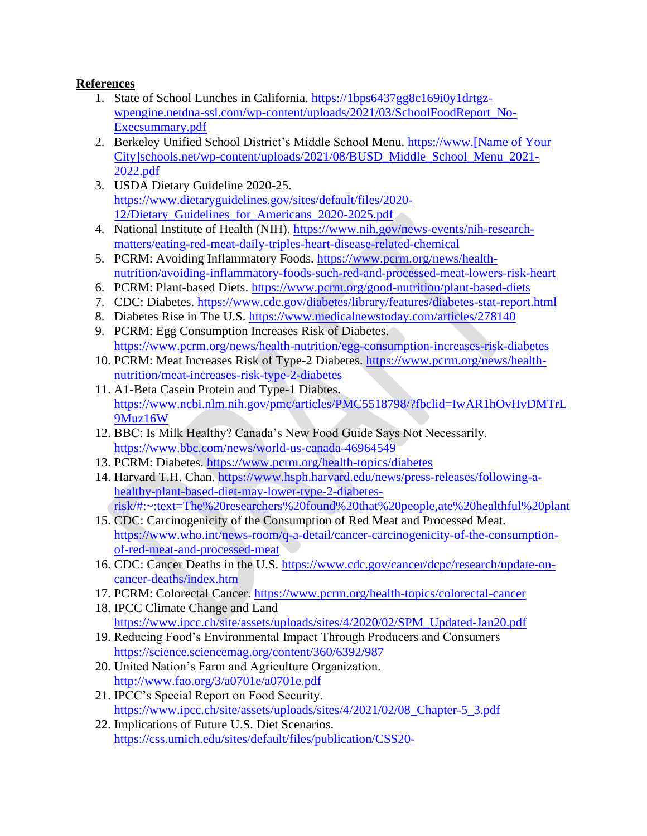## **References**

- 1. State of School Lunches in California. [https://1bps6437gg8c169i0y1drtgz](https://1bps6437gg8c169i0y1drtgz-wpengine.netdna-ssl.com/wp-content/uploads/2021/03/SchoolFoodReport_No-Execsummary.pdf)[wpengine.netdna-ssl.com/wp-content/uploads/2021/03/SchoolFoodReport\\_No-](https://1bps6437gg8c169i0y1drtgz-wpengine.netdna-ssl.com/wp-content/uploads/2021/03/SchoolFoodReport_No-Execsummary.pdf)[Execsummary.pdf](https://1bps6437gg8c169i0y1drtgz-wpengine.netdna-ssl.com/wp-content/uploads/2021/03/SchoolFoodReport_No-Execsummary.pdf)
- 2. Berkeley Unified School District's Middle School Menu. [https://www.\[Name of Your](https://www.berkeleyschools.net/wp-content/uploads/2021/08/BUSD_Middle_School_Menu_2021-2022.pdf)  [City\]schools.net/wp-content/uploads/2021/08/BUSD\\_Middle\\_School\\_Menu\\_2021-](https://www.berkeleyschools.net/wp-content/uploads/2021/08/BUSD_Middle_School_Menu_2021-2022.pdf) [2022.pdf](https://www.berkeleyschools.net/wp-content/uploads/2021/08/BUSD_Middle_School_Menu_2021-2022.pdf)
- 3. USDA Dietary Guideline 2020-25. [https://www.dietaryguidelines.gov/sites/default/files/2020-](https://www.dietaryguidelines.gov/sites/default/files/2020-12/Dietary_Guidelines_for_Americans_2020-2025.pdf) [12/Dietary\\_Guidelines\\_for\\_Americans\\_2020-2025.pdf](https://www.dietaryguidelines.gov/sites/default/files/2020-12/Dietary_Guidelines_for_Americans_2020-2025.pdf)
- 4. National Institute of Health (NIH). [https://www.nih.gov/news-events/nih-research](https://www.nih.gov/news-events/nih-research-matters/eating-red-meat-daily-triples-heart-disease-related-chemical)[matters/eating-red-meat-daily-triples-heart-disease-related-chemical](https://www.nih.gov/news-events/nih-research-matters/eating-red-meat-daily-triples-heart-disease-related-chemical)
- 5. PCRM: Avoiding Inflammatory Foods. [https://www.pcrm.org/news/health](https://www.pcrm.org/news/health-nutrition/avoiding-inflammatory-foods-such-red-and-processed-meat-lowers-risk-heart)[nutrition/avoiding-inflammatory-foods-such-red-and-processed-meat-lowers-risk-heart](https://www.pcrm.org/news/health-nutrition/avoiding-inflammatory-foods-such-red-and-processed-meat-lowers-risk-heart)
- 6. PCRM: Plant-based Diets.<https://www.pcrm.org/good-nutrition/plant-based-diets>
- 7. CDC: Diabetes.<https://www.cdc.gov/diabetes/library/features/diabetes-stat-report.html>
- 8. Diabetes Rise in The U.S.<https://www.medicalnewstoday.com/articles/278140>
- 9. PCRM: Egg Consumption Increases Risk of Diabetes. <https://www.pcrm.org/news/health-nutrition/egg-consumption-increases-risk-diabetes>
- 10. PCRM: Meat Increases Risk of Type-2 Diabetes. [https://www.pcrm.org/news/health](https://www.pcrm.org/news/health-nutrition/meat-increases-risk-type-2-diabetes)[nutrition/meat-increases-risk-type-2-diabetes](https://www.pcrm.org/news/health-nutrition/meat-increases-risk-type-2-diabetes)
- 11. A1-Beta Casein Protein and Type-1 Diabtes. [https://www.ncbi.nlm.nih.gov/pmc/articles/PMC5518798/?fbclid=IwAR1hOvHvDMTrL](https://www.ncbi.nlm.nih.gov/pmc/articles/PMC5518798/?fbclid=IwAR1hOvHvDMTrL9Muz16W) [9Muz16W](https://www.ncbi.nlm.nih.gov/pmc/articles/PMC5518798/?fbclid=IwAR1hOvHvDMTrL9Muz16W)
- 12. BBC: Is Milk Healthy? Canada's New Food Guide Says Not Necessarily. <https://www.bbc.com/news/world-us-canada-46964549>
- 13. PCRM: Diabetes.<https://www.pcrm.org/health-topics/diabetes>
- 14. Harvard T.H. Chan. [https://www.hsph.harvard.edu/news/press-releases/following-a](https://www.hsph.harvard.edu/news/press-releases/following-a-healthy-plant-based-diet-may-lower-type-2-diabetes-risk/#:~:text=The%20researchers%20found%20that%20people,ate%20healthful%20plant)[healthy-plant-based-diet-may-lower-type-2-diabetes](https://www.hsph.harvard.edu/news/press-releases/following-a-healthy-plant-based-diet-may-lower-type-2-diabetes-risk/#:~:text=The%20researchers%20found%20that%20people,ate%20healthful%20plant)[risk/#:~:text=The%20researchers%20found%20that%20people,ate%20healthful%20plant](https://www.hsph.harvard.edu/news/press-releases/following-a-healthy-plant-based-diet-may-lower-type-2-diabetes-risk/#:~:text=The%20researchers%20found%20that%20people,ate%20healthful%20plant)
- 15. CDC: Carcinogenicity of the Consumption of Red Meat and Processed Meat. [https://www.who.int/news-room/q-a-detail/cancer-carcinogenicity-of-the-consumption](https://www.who.int/news-room/q-a-detail/cancer-carcinogenicity-of-the-consumption-of-red-meat-and-processed-meat)[of-red-meat-and-processed-meat](https://www.who.int/news-room/q-a-detail/cancer-carcinogenicity-of-the-consumption-of-red-meat-and-processed-meat)
- 16. CDC: Cancer Deaths in the U.S. [https://www.cdc.gov/cancer/dcpc/research/update-on](https://www.cdc.gov/cancer/dcpc/research/update-on-cancer-deaths/index.htm)[cancer-deaths/index.htm](https://www.cdc.gov/cancer/dcpc/research/update-on-cancer-deaths/index.htm)
- 17. PCRM: Colorectal Cancer.<https://www.pcrm.org/health-topics/colorectal-cancer>
- 18. IPCC Climate Change and Land [https://www.ipcc.ch/site/assets/uploads/sites/4/2020/02/SPM\\_Updated-Jan20.pdf](https://www.ipcc.ch/site/assets/uploads/sites/4/2020/02/SPM_Updated-Jan20.pdf)
- 19. Reducing Food's Environmental Impact Through Producers and Consumers <https://science.sciencemag.org/content/360/6392/987>
- 20. United Nation's Farm and Agriculture Organization. <http://www.fao.org/3/a0701e/a0701e.pdf>
- 21. IPCC's Special Report on Food Security. [https://www.ipcc.ch/site/assets/uploads/sites/4/2021/02/08\\_Chapter-5\\_3.pdf](https://www.ipcc.ch/site/assets/uploads/sites/4/2021/02/08_Chapter-5_3.pdf)
- 22. Implications of Future U.S. Diet Scenarios. [https://css.umich.edu/sites/default/files/publication/CSS20-](https://css.umich.edu/sites/default/files/publication/CSS20-01.pdf?fbclid=IwAR2DKQshGzZG2ZB4ypXUFvoYiuVrLg-vEA1VftakrRlIsf80wnSyJnrakCI)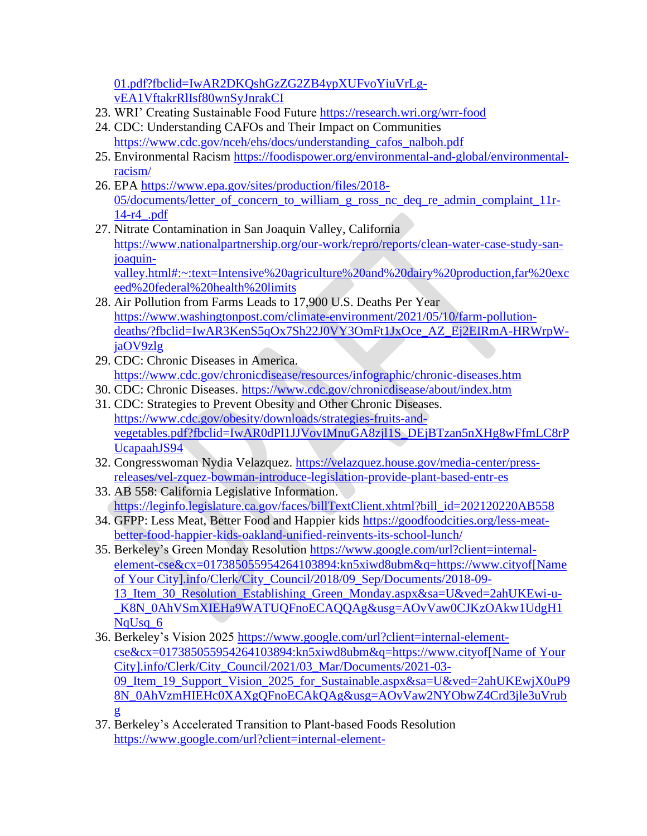[01.pdf?fbclid=IwAR2DKQshGzZG2ZB4ypXUFvoYiuVrLg](https://css.umich.edu/sites/default/files/publication/CSS20-01.pdf?fbclid=IwAR2DKQshGzZG2ZB4ypXUFvoYiuVrLg-vEA1VftakrRlIsf80wnSyJnrakCI)[vEA1VftakrRlIsf80wnSyJnrakCI](https://css.umich.edu/sites/default/files/publication/CSS20-01.pdf?fbclid=IwAR2DKQshGzZG2ZB4ypXUFvoYiuVrLg-vEA1VftakrRlIsf80wnSyJnrakCI)

- 23. WRI' Creating Sustainable Food Future<https://research.wri.org/wrr-food>
- 24. CDC: Understanding CAFOs and Their Impact on Communities [https://www.cdc.gov/nceh/ehs/docs/understanding\\_cafos\\_nalboh.pdf](https://www.cdc.gov/nceh/ehs/docs/understanding_cafos_nalboh.pdf)
- 25. Environmental Racism [https://foodispower.org/environmental-and-global/environmental](https://foodispower.org/environmental-and-global/environmental-racism/)[racism/](https://foodispower.org/environmental-and-global/environmental-racism/)
- 26. EPA [https://www.epa.gov/sites/production/files/2018-](https://www.epa.gov/sites/production/files/2018-05/documents/letter_of_concern_to_william_g_ross_nc_deq_re_admin_complaint_11r-14-r4_.pdf) [05/documents/letter\\_of\\_concern\\_to\\_william\\_g\\_ross\\_nc\\_deq\\_re\\_admin\\_complaint\\_11r-](https://www.epa.gov/sites/production/files/2018-05/documents/letter_of_concern_to_william_g_ross_nc_deq_re_admin_complaint_11r-14-r4_.pdf)[14-r4\\_.pdf](https://www.epa.gov/sites/production/files/2018-05/documents/letter_of_concern_to_william_g_ross_nc_deq_re_admin_complaint_11r-14-r4_.pdf)
- 27. Nitrate Contamination in San Joaquin Valley, California [https://www.nationalpartnership.org/our-work/repro/reports/clean-water-case-study-san](https://www.nationalpartnership.org/our-work/repro/reports/clean-water-case-study-san-joaquin-valley.html#:~:text=Intensive%20agriculture%20and%20dairy%20production,far%20exceed%20federal%20health%20limits)[joaquin](https://www.nationalpartnership.org/our-work/repro/reports/clean-water-case-study-san-joaquin-valley.html#:~:text=Intensive%20agriculture%20and%20dairy%20production,far%20exceed%20federal%20health%20limits)[valley.html#:~:text=Intensive%20agriculture%20and%20dairy%20production,far%20exc](https://www.nationalpartnership.org/our-work/repro/reports/clean-water-case-study-san-joaquin-valley.html#:~:text=Intensive%20agriculture%20and%20dairy%20production,far%20exceed%20federal%20health%20limits) [eed%20federal%20health%20limits](https://www.nationalpartnership.org/our-work/repro/reports/clean-water-case-study-san-joaquin-valley.html#:~:text=Intensive%20agriculture%20and%20dairy%20production,far%20exceed%20federal%20health%20limits)
- 28. Air Pollution from Farms Leads to 17,900 U.S. Deaths Per Year [https://www.washingtonpost.com/climate-environment/2021/05/10/farm-pollution](https://www.washingtonpost.com/climate-environment/2021/05/10/farm-pollution-deaths/?fbclid=IwAR3KenS5qOx7Sh22J0VY3OmFt1JxOce_AZ_Ej2EIRmA-HRWrpW-jaOV9zlg)[deaths/?fbclid=IwAR3KenS5qOx7Sh22J0VY3OmFt1JxOce\\_AZ\\_Ej2EIRmA-HRWrpW](https://www.washingtonpost.com/climate-environment/2021/05/10/farm-pollution-deaths/?fbclid=IwAR3KenS5qOx7Sh22J0VY3OmFt1JxOce_AZ_Ej2EIRmA-HRWrpW-jaOV9zlg)[jaOV9zlg](https://www.washingtonpost.com/climate-environment/2021/05/10/farm-pollution-deaths/?fbclid=IwAR3KenS5qOx7Sh22J0VY3OmFt1JxOce_AZ_Ej2EIRmA-HRWrpW-jaOV9zlg)
- 29. CDC: Chronic Diseases in America. <https://www.cdc.gov/chronicdisease/resources/infographic/chronic-diseases.htm>
- 30. CDC: Chronic Diseases.<https://www.cdc.gov/chronicdisease/about/index.htm>
- 31. CDC: Strategies to Prevent Obesity and Other Chronic Diseases. [https://www.cdc.gov/obesity/downloads/strategies-fruits-and](https://www.cdc.gov/obesity/downloads/strategies-fruits-and-vegetables.pdf?fbclid=IwAR0dPl1JJVovIMnuGA8zjl1S_DEjBTzan5nXHg8wFfmLC8rPUcapaahJS94)[vegetables.pdf?fbclid=IwAR0dPl1JJVovIMnuGA8zjl1S\\_DEjBTzan5nXHg8wFfmLC8rP](https://www.cdc.gov/obesity/downloads/strategies-fruits-and-vegetables.pdf?fbclid=IwAR0dPl1JJVovIMnuGA8zjl1S_DEjBTzan5nXHg8wFfmLC8rPUcapaahJS94) [UcapaahJS94](https://www.cdc.gov/obesity/downloads/strategies-fruits-and-vegetables.pdf?fbclid=IwAR0dPl1JJVovIMnuGA8zjl1S_DEjBTzan5nXHg8wFfmLC8rPUcapaahJS94)
- 32. Congresswoman Nydia Velazquez. [https://velazquez.house.gov/media-center/press](https://velazquez.house.gov/media-center/press-releases/vel-zquez-bowman-introduce-legislation-provide-plant-based-entr-es)[releases/vel-zquez-bowman-introduce-legislation-provide-plant-based-entr-es](https://velazquez.house.gov/media-center/press-releases/vel-zquez-bowman-introduce-legislation-provide-plant-based-entr-es)
- 33. AB 558: California Legislative Information. [https://leginfo.legislature.ca.gov/faces/billTextClient.xhtml?bill\\_id=202120220AB558](https://leginfo.legislature.ca.gov/faces/billTextClient.xhtml?bill_id=202120220AB558)
- 34. GFPP: Less Meat, Better Food and Happier kids [https://goodfoodcities.org/less-meat](https://goodfoodcities.org/less-meat-better-food-happier-kids-oakland-unified-reinvents-its-school-lunch/)[better-food-happier-kids-oakland-unified-reinvents-its-school-lunch/](https://goodfoodcities.org/less-meat-better-food-happier-kids-oakland-unified-reinvents-its-school-lunch/)
- 35. Berkeley's Green Monday Resolution [https://www.google.com/url?client=internal](https://www.google.com/url?client=internal-element-cse&cx=017385055954264103894:kn5xiwd8ubm&q=https://www.cityofberkeley.info/Clerk/City_Council/2018/09_Sep/Documents/2018-09-13_Item_30_Resolution_Establishing_Green_Monday.aspx&sa=U&ved=2ahUKEwi-u-_K8N_0AhVSmXIEHa9WATUQFnoECAQQAg&usg=AOvVaw0CJKzOAkw1UdgH1NqUsq_6)[element-cse&cx=017385055954264103894:kn5xiwd8ubm&q=https://www.cityof\[Name](https://www.google.com/url?client=internal-element-cse&cx=017385055954264103894:kn5xiwd8ubm&q=https://www.cityofberkeley.info/Clerk/City_Council/2018/09_Sep/Documents/2018-09-13_Item_30_Resolution_Establishing_Green_Monday.aspx&sa=U&ved=2ahUKEwi-u-_K8N_0AhVSmXIEHa9WATUQFnoECAQQAg&usg=AOvVaw0CJKzOAkw1UdgH1NqUsq_6)  [of Your City\].info/Clerk/City\\_Council/2018/09\\_Sep/Documents/2018-09-](https://www.google.com/url?client=internal-element-cse&cx=017385055954264103894:kn5xiwd8ubm&q=https://www.cityofberkeley.info/Clerk/City_Council/2018/09_Sep/Documents/2018-09-13_Item_30_Resolution_Establishing_Green_Monday.aspx&sa=U&ved=2ahUKEwi-u-_K8N_0AhVSmXIEHa9WATUQFnoECAQQAg&usg=AOvVaw0CJKzOAkw1UdgH1NqUsq_6) [13\\_Item\\_30\\_Resolution\\_Establishing\\_Green\\_Monday.aspx&sa=U&ved=2ahUKEwi-u-](https://www.google.com/url?client=internal-element-cse&cx=017385055954264103894:kn5xiwd8ubm&q=https://www.cityofberkeley.info/Clerk/City_Council/2018/09_Sep/Documents/2018-09-13_Item_30_Resolution_Establishing_Green_Monday.aspx&sa=U&ved=2ahUKEwi-u-_K8N_0AhVSmXIEHa9WATUQFnoECAQQAg&usg=AOvVaw0CJKzOAkw1UdgH1NqUsq_6) [\\_K8N\\_0AhVSmXIEHa9WATUQFnoECAQQAg&usg=AOvVaw0CJKzOAkw1UdgH1](https://www.google.com/url?client=internal-element-cse&cx=017385055954264103894:kn5xiwd8ubm&q=https://www.cityofberkeley.info/Clerk/City_Council/2018/09_Sep/Documents/2018-09-13_Item_30_Resolution_Establishing_Green_Monday.aspx&sa=U&ved=2ahUKEwi-u-_K8N_0AhVSmXIEHa9WATUQFnoECAQQAg&usg=AOvVaw0CJKzOAkw1UdgH1NqUsq_6) NaUsa<sub>6</sub>
- 36. Berkeley's Vision 2025 [https://www.google.com/url?client=internal-element](https://www.google.com/url?client=internal-element-cse&cx=017385055954264103894:kn5xiwd8ubm&q=https://www.cityofberkeley.info/Clerk/City_Council/2021/03_Mar/Documents/2021-03-09_Item_19_Support_Vision_2025_for_Sustainable.aspx&sa=U&ved=2ahUKEwjX0uP98N_0AhVzmHIEHc0XAXgQFnoECAkQAg&usg=AOvVaw2NYObwZ4Crd3jle3uVrubg)[cse&cx=017385055954264103894:kn5xiwd8ubm&q=https://www.cityof\[Name of Your](https://www.google.com/url?client=internal-element-cse&cx=017385055954264103894:kn5xiwd8ubm&q=https://www.cityofberkeley.info/Clerk/City_Council/2021/03_Mar/Documents/2021-03-09_Item_19_Support_Vision_2025_for_Sustainable.aspx&sa=U&ved=2ahUKEwjX0uP98N_0AhVzmHIEHc0XAXgQFnoECAkQAg&usg=AOvVaw2NYObwZ4Crd3jle3uVrubg)  [City\].info/Clerk/City\\_Council/2021/03\\_Mar/Documents/2021-03-](https://www.google.com/url?client=internal-element-cse&cx=017385055954264103894:kn5xiwd8ubm&q=https://www.cityofberkeley.info/Clerk/City_Council/2021/03_Mar/Documents/2021-03-09_Item_19_Support_Vision_2025_for_Sustainable.aspx&sa=U&ved=2ahUKEwjX0uP98N_0AhVzmHIEHc0XAXgQFnoECAkQAg&usg=AOvVaw2NYObwZ4Crd3jle3uVrubg) 09 Item 19 Support Vision 2025 for Sustainable.aspx&sa=U&ved=2ahUKEwjX0uP9 [8N\\_0AhVzmHIEHc0XAXgQFnoECAkQAg&usg=AOvVaw2NYObwZ4Crd3jle3uVrub](https://www.google.com/url?client=internal-element-cse&cx=017385055954264103894:kn5xiwd8ubm&q=https://www.cityofberkeley.info/Clerk/City_Council/2021/03_Mar/Documents/2021-03-09_Item_19_Support_Vision_2025_for_Sustainable.aspx&sa=U&ved=2ahUKEwjX0uP98N_0AhVzmHIEHc0XAXgQFnoECAkQAg&usg=AOvVaw2NYObwZ4Crd3jle3uVrubg) [g](https://www.google.com/url?client=internal-element-cse&cx=017385055954264103894:kn5xiwd8ubm&q=https://www.cityofberkeley.info/Clerk/City_Council/2021/03_Mar/Documents/2021-03-09_Item_19_Support_Vision_2025_for_Sustainable.aspx&sa=U&ved=2ahUKEwjX0uP98N_0AhVzmHIEHc0XAXgQFnoECAkQAg&usg=AOvVaw2NYObwZ4Crd3jle3uVrubg)
- 37. Berkeley's Accelerated Transition to Plant-based Foods Resolution [https://www.google.com/url?client=internal-element-](https://www.google.com/url?client=internal-element-cse&cx=017385055954264103894:kn5xiwd8ubm&q=https://www.cityofberkeley.info/Clerk/City_Council/2021/07_Jul/Documents/2021-07-27_Supp_3_Reports_Item_22_Rev_Hahn_pdf.aspx&sa=U&ved=2ahUKEwiXy_718d_0AhX2oHIEHepeA30QFnoECAgQAg&usg=AOvVaw2dqtJpFxTNzid_YZSIxoTp)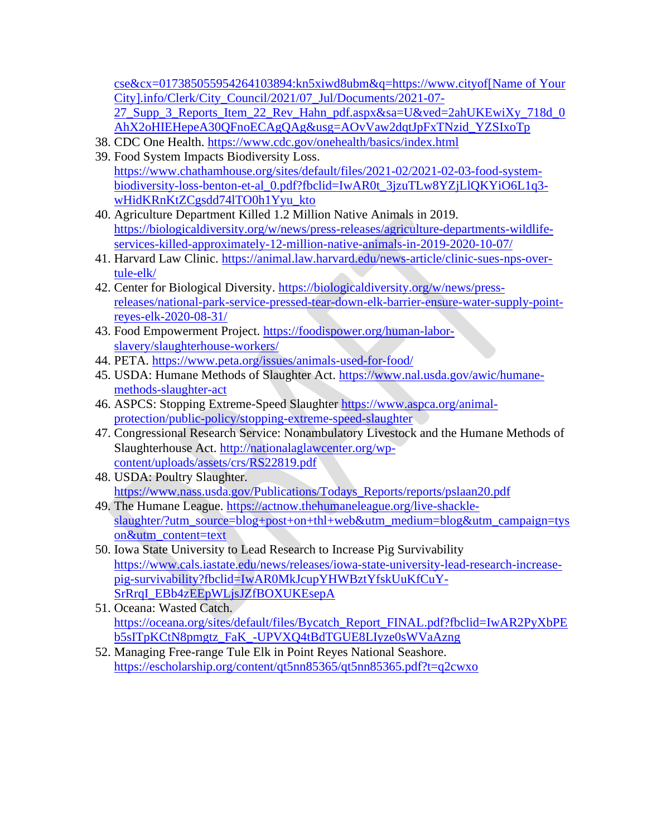[cse&cx=017385055954264103894:kn5xiwd8ubm&q=https://www.cityof\[Name of Your](https://www.google.com/url?client=internal-element-cse&cx=017385055954264103894:kn5xiwd8ubm&q=https://www.cityofberkeley.info/Clerk/City_Council/2021/07_Jul/Documents/2021-07-27_Supp_3_Reports_Item_22_Rev_Hahn_pdf.aspx&sa=U&ved=2ahUKEwiXy_718d_0AhX2oHIEHepeA30QFnoECAgQAg&usg=AOvVaw2dqtJpFxTNzid_YZSIxoTp)  [City\].info/Clerk/City\\_Council/2021/07\\_Jul/Documents/2021-07-](https://www.google.com/url?client=internal-element-cse&cx=017385055954264103894:kn5xiwd8ubm&q=https://www.cityofberkeley.info/Clerk/City_Council/2021/07_Jul/Documents/2021-07-27_Supp_3_Reports_Item_22_Rev_Hahn_pdf.aspx&sa=U&ved=2ahUKEwiXy_718d_0AhX2oHIEHepeA30QFnoECAgQAg&usg=AOvVaw2dqtJpFxTNzid_YZSIxoTp) [27\\_Supp\\_3\\_Reports\\_Item\\_22\\_Rev\\_Hahn\\_pdf.aspx&sa=U&ved=2ahUKEwiXy\\_718d\\_0](https://www.google.com/url?client=internal-element-cse&cx=017385055954264103894:kn5xiwd8ubm&q=https://www.cityofberkeley.info/Clerk/City_Council/2021/07_Jul/Documents/2021-07-27_Supp_3_Reports_Item_22_Rev_Hahn_pdf.aspx&sa=U&ved=2ahUKEwiXy_718d_0AhX2oHIEHepeA30QFnoECAgQAg&usg=AOvVaw2dqtJpFxTNzid_YZSIxoTp) [AhX2oHIEHepeA30QFnoECAgQAg&usg=AOvVaw2dqtJpFxTNzid\\_YZSIxoTp](https://www.google.com/url?client=internal-element-cse&cx=017385055954264103894:kn5xiwd8ubm&q=https://www.cityofberkeley.info/Clerk/City_Council/2021/07_Jul/Documents/2021-07-27_Supp_3_Reports_Item_22_Rev_Hahn_pdf.aspx&sa=U&ved=2ahUKEwiXy_718d_0AhX2oHIEHepeA30QFnoECAgQAg&usg=AOvVaw2dqtJpFxTNzid_YZSIxoTp)

- 38. CDC One Health.<https://www.cdc.gov/onehealth/basics/index.html>
- 39. Food System Impacts Biodiversity Loss. [https://www.chathamhouse.org/sites/default/files/2021-02/2021-02-03-food-system](https://www.chathamhouse.org/sites/default/files/2021-02/2021-02-03-food-system-biodiversity-loss-benton-et-al_0.pdf?fbclid=IwAR0t_3jzuTLw8YZjLlQKYiO6L1q3-wHidKRnKtZCgsdd74lTO0h1Yyu_kto)[biodiversity-loss-benton-et-al\\_0.pdf?fbclid=IwAR0t\\_3jzuTLw8YZjLlQKYiO6L1q3](https://www.chathamhouse.org/sites/default/files/2021-02/2021-02-03-food-system-biodiversity-loss-benton-et-al_0.pdf?fbclid=IwAR0t_3jzuTLw8YZjLlQKYiO6L1q3-wHidKRnKtZCgsdd74lTO0h1Yyu_kto) [wHidKRnKtZCgsdd74lTO0h1Yyu\\_kto](https://www.chathamhouse.org/sites/default/files/2021-02/2021-02-03-food-system-biodiversity-loss-benton-et-al_0.pdf?fbclid=IwAR0t_3jzuTLw8YZjLlQKYiO6L1q3-wHidKRnKtZCgsdd74lTO0h1Yyu_kto)
- 40. Agriculture Department Killed 1.2 Million Native Animals in 2019. [https://biologicaldiversity.org/w/news/press-releases/agriculture-departments-wildlife](https://biologicaldiversity.org/w/news/press-releases/agriculture-departments-wildlife-services-killed-approximately-12-million-native-animals-in-2019-2020-10-07/)[services-killed-approximately-12-million-native-animals-in-2019-2020-10-07/](https://biologicaldiversity.org/w/news/press-releases/agriculture-departments-wildlife-services-killed-approximately-12-million-native-animals-in-2019-2020-10-07/)
- 41. Harvard Law Clinic. [https://animal.law.harvard.edu/news-article/clinic-sues-nps-over](https://animal.law.harvard.edu/news-article/clinic-sues-nps-over-tule-elk/)[tule-elk/](https://animal.law.harvard.edu/news-article/clinic-sues-nps-over-tule-elk/)
- 42. Center for Biological Diversity. [https://biologicaldiversity.org/w/news/press](https://biologicaldiversity.org/w/news/press-releases/national-park-service-pressed-tear-down-elk-barrier-ensure-water-supply-point-reyes-elk-2020-08-31/)[releases/national-park-service-pressed-tear-down-elk-barrier-ensure-water-supply-point](https://biologicaldiversity.org/w/news/press-releases/national-park-service-pressed-tear-down-elk-barrier-ensure-water-supply-point-reyes-elk-2020-08-31/)[reyes-elk-2020-08-31/](https://biologicaldiversity.org/w/news/press-releases/national-park-service-pressed-tear-down-elk-barrier-ensure-water-supply-point-reyes-elk-2020-08-31/)
- 43. Food Empowerment Project. [https://foodispower.org/human-labor](https://foodispower.org/human-labor-slavery/slaughterhouse-workers/)[slavery/slaughterhouse-workers/](https://foodispower.org/human-labor-slavery/slaughterhouse-workers/)
- 44. PETA.<https://www.peta.org/issues/animals-used-for-food/>
- 45. USDA: Humane Methods of Slaughter Act. [https://www.nal.usda.gov/awic/humane](https://www.nal.usda.gov/awic/humane-methods-slaughter-act)[methods-slaughter-act](https://www.nal.usda.gov/awic/humane-methods-slaughter-act)
- 46. ASPCS: Stopping Extreme-Speed Slaughter [https://www.aspca.org/animal](https://www.aspca.org/animal-protection/public-policy/stopping-extreme-speed-slaughter)[protection/public-policy/stopping-extreme-speed-slaughter](https://www.aspca.org/animal-protection/public-policy/stopping-extreme-speed-slaughter)
- 47. Congressional Research Service: Nonambulatory Livestock and the Humane Methods of Slaughterhouse Act. [http://nationalaglawcenter.org/wp](http://nationalaglawcenter.org/wp-content/uploads/assets/crs/RS22819.pdf)[content/uploads/assets/crs/RS22819.pdf](http://nationalaglawcenter.org/wp-content/uploads/assets/crs/RS22819.pdf)
- 48. USDA: Poultry Slaughter. [https://www.nass.usda.gov/Publications/Todays\\_Reports/reports/pslaan20.pdf](https://www.nass.usda.gov/Publications/Todays_Reports/reports/pslaan20.pdf)
- 49. The Humane League. [https://actnow.thehumaneleague.org/live-shackle](https://actnow.thehumaneleague.org/live-shackle-slaughter/?utm_source=blog+post+on+thl+web&utm_medium=blog&utm_campaign=tyson&utm_content=text)[slaughter/?utm\\_source=blog+post+on+thl+web&utm\\_medium=blog&utm\\_campaign=tys](https://actnow.thehumaneleague.org/live-shackle-slaughter/?utm_source=blog+post+on+thl+web&utm_medium=blog&utm_campaign=tyson&utm_content=text) [on&utm\\_content=text](https://actnow.thehumaneleague.org/live-shackle-slaughter/?utm_source=blog+post+on+thl+web&utm_medium=blog&utm_campaign=tyson&utm_content=text)
- 50. Iowa State University to Lead Research to Increase Pig Survivability [https://www.cals.iastate.edu/news/releases/iowa-state-university-lead-research-increase](https://www.cals.iastate.edu/news/releases/iowa-state-university-lead-research-increase-pig-survivability?fbclid=IwAR0MkJcupYHWBztYfskUuKfCuY-SrRrqI_EBb4zEEpWLjsJZfBOXUKEsepA)[pig-survivability?fbclid=IwAR0MkJcupYHWBztYfskUuKfCuY-](https://www.cals.iastate.edu/news/releases/iowa-state-university-lead-research-increase-pig-survivability?fbclid=IwAR0MkJcupYHWBztYfskUuKfCuY-SrRrqI_EBb4zEEpWLjsJZfBOXUKEsepA)[SrRrqI\\_EBb4zEEpWLjsJZfBOXUKEsepA](https://www.cals.iastate.edu/news/releases/iowa-state-university-lead-research-increase-pig-survivability?fbclid=IwAR0MkJcupYHWBztYfskUuKfCuY-SrRrqI_EBb4zEEpWLjsJZfBOXUKEsepA)
- 51. Oceana: Wasted Catch. [https://oceana.org/sites/default/files/Bycatch\\_Report\\_FINAL.pdf?fbclid=IwAR2PyXbPE](https://oceana.org/sites/default/files/Bycatch_Report_FINAL.pdf?fbclid=IwAR2PyXbPEb5sITpKCtN8pmgtz_FaK_-UPVXQ4tBdTGUE8LIyze0sWVaAzng) [b5sITpKCtN8pmgtz\\_FaK\\_-UPVXQ4tBdTGUE8LIyze0sWVaAzng](https://oceana.org/sites/default/files/Bycatch_Report_FINAL.pdf?fbclid=IwAR2PyXbPEb5sITpKCtN8pmgtz_FaK_-UPVXQ4tBdTGUE8LIyze0sWVaAzng)
- 52. Managing Free-range Tule Elk in Point Reyes National Seashore. <https://escholarship.org/content/qt5nn85365/qt5nn85365.pdf?t=q2cwxo>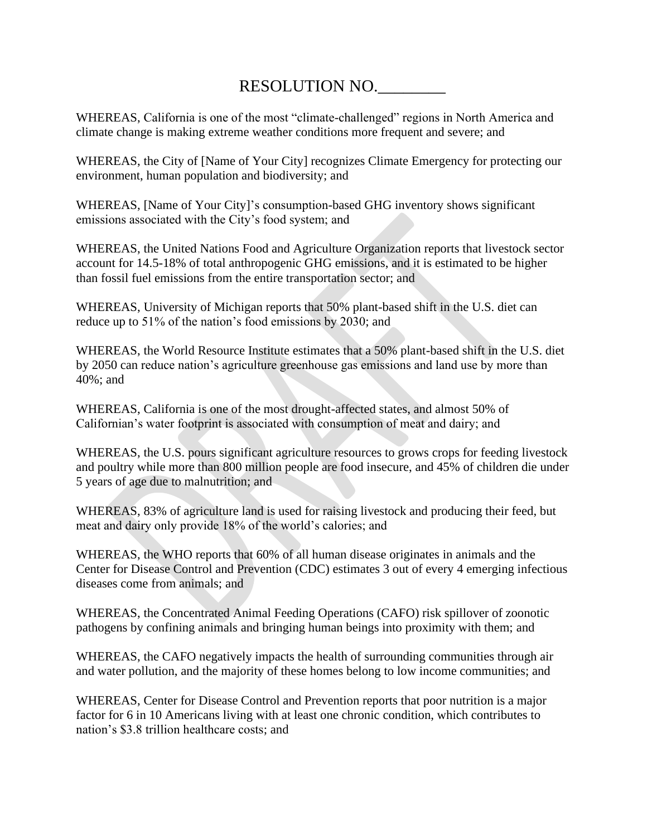# RESOLUTION NO.\_\_\_\_\_\_\_\_

WHEREAS, California is one of the most "climate-challenged" regions in North America and climate change is making extreme weather conditions more frequent and severe; and

WHEREAS, the City of [Name of Your City] recognizes Climate Emergency for protecting our environment, human population and biodiversity; and

WHEREAS, [Name of Your City]'s consumption-based GHG inventory shows significant emissions associated with the City's food system; and

WHEREAS, the United Nations Food and Agriculture Organization reports that livestock sector account for 14.5-18% of total anthropogenic GHG emissions, and it is estimated to be higher than fossil fuel emissions from the entire transportation sector; and

WHEREAS, University of Michigan reports that 50% plant-based shift in the U.S. diet can reduce up to 51% of the nation's food emissions by 2030; and

WHEREAS, the World Resource Institute estimates that a 50% plant-based shift in the U.S. diet by 2050 can reduce nation's agriculture greenhouse gas emissions and land use by more than 40%; and

WHEREAS, California is one of the most drought-affected states, and almost 50% of Californian's water footprint is associated with consumption of meat and dairy; and

WHEREAS, the U.S. pours significant agriculture resources to grows crops for feeding livestock and poultry while more than 800 million people are food insecure, and 45% of children die under 5 years of age due to malnutrition; and

WHEREAS, 83% of agriculture land is used for raising livestock and producing their feed, but meat and dairy only provide 18% of the world's calories; and

WHEREAS, the WHO reports that 60% of all human disease originates in animals and the Center for Disease Control and Prevention (CDC) estimates 3 out of every 4 emerging infectious diseases come from animals; and

WHEREAS, the Concentrated Animal Feeding Operations (CAFO) risk spillover of zoonotic pathogens by confining animals and bringing human beings into proximity with them; and

WHEREAS, the CAFO negatively impacts the health of surrounding communities through air and water pollution, and the majority of these homes belong to low income communities; and

WHEREAS, Center for Disease Control and Prevention reports that poor nutrition is a major factor for 6 in 10 Americans living with at least one chronic condition, which contributes to nation's \$3.8 trillion healthcare costs; and